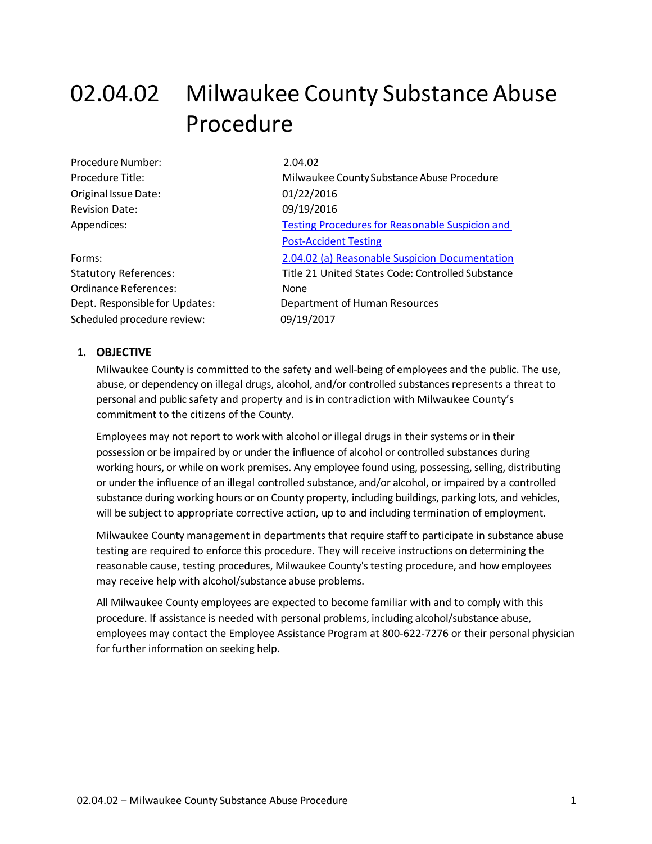# 02.04.02 Milwaukee County Substance Abuse Procedure

| Procedure Number:     |
|-----------------------|
| Procedure Title:      |
| Original Issue Date:  |
| <b>Revision Date:</b> |
| Appendices:           |
|                       |
|                       |

Ordinance References: None Scheduled procedure review: 09/19/2017

 $2.04.02$ Milwaukee County Substance Abuse Procedure 01/22/2016 09/19/2016 Testing Procedures for Reasonable Suspicion and [Post-Accident](#page-8-0) Testing Forms: [2.04.02 \(a\) Reasonable Suspicion](https://county.milwaukee.gov/files/county/administrative-services/AMOP/Chapter-2-Human-Resources/02.04.02aReasonableSuspicionDeterminationChartandFormREV.docx) Documentation Statutory References: Title 21 United States Code: Controlled Substance Dept. Responsible for Updates: Department of Human Resources

### **1. OBJECTIVE**

Milwaukee County is committed to the safety and well-being of employees and the public. The use, abuse, or dependency on illegal drugs, alcohol, and/or controlled substances represents a threat to personal and public safety and property and is in contradiction with Milwaukee County's commitment to the citizens of the County.

Employees may not report to work with alcohol or illegal drugs in their systems or in their possession or be impaired by or under the influence of alcohol or controlled substances during working hours, or while on work premises. Any employee found using, possessing, selling, distributing or under the influence of an illegal controlled substance, and/or alcohol, or impaired by a controlled substance during working hours or on County property, including buildings, parking lots, and vehicles, will be subject to appropriate corrective action, up to and including termination of employment.

Milwaukee County management in departments that require staff to participate in substance abuse testing are required to enforce this procedure. They will receive instructions on determining the reasonable cause, testing procedures, Milwaukee County's testing procedure, and how employees may receive help with alcohol/substance abuse problems.

All Milwaukee County employees are expected to become familiar with and to comply with this procedure. If assistance is needed with personal problems, including alcohol/substance abuse, employees may contact the Employee Assistance Program at 800-622-7276 or their personal physician for further information on seeking help.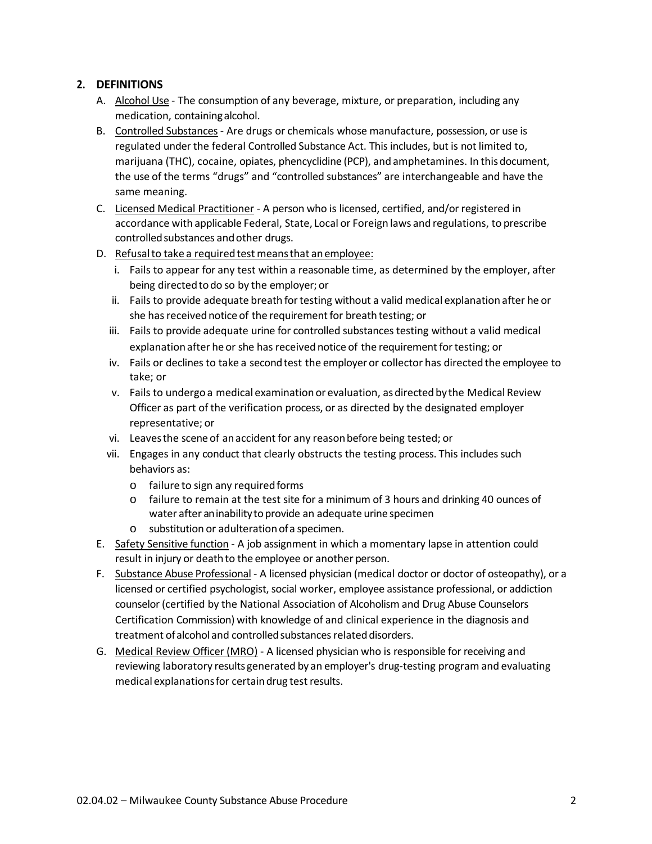## **2. DEFINITIONS**

- A. Alcohol Use The consumption of any beverage, mixture, or preparation, including any medication, containingalcohol.
- B. Controlled Substances Are drugs or chemicals whose manufacture, possession, or use is regulated under the federal Controlled Substance Act. This includes, but is not limited to, marijuana (THC), cocaine, opiates, phencyclidine (PCP), and amphetamines. In thisdocument, the use of the terms "drugs" and "controlled substances" are interchangeable and have the same meaning.
- C. Licensed Medical Practitioner A person who is licensed, certified, and/or registered in accordance with applicable Federal, State, Local or Foreign laws and regulations, to prescribe controlled substances and other drugs.
- D. Refusal to take a required test means that an employee:
	- i. Fails to appear for any test within a reasonable time, as determined by the employer, after being directedtodo so by the employer; or
	- ii. Fails to provide adequate breath for testing without a valid medical explanation after he or she has received notice of the requirement for breath testing; or
	- iii. Fails to provide adequate urine for controlled substances testing without a valid medical explanation after he or she has received notice of the requirement for testing; or
	- iv. Fails or declines to take a second test the employer or collector has directed the employee to take; or
	- v. Fails to undergoa medical examinationor evaluation, asdirected by the Medical Review Officer as part of the verification process, or as directed by the designated employer representative; or
	- vi. Leavesthe scene of anaccident for any reasonbefore being tested; or
	- vii. Engages in any conduct that clearly obstructs the testing process. This includes such behaviors as:
		- $\circ$  failure to sign any required forms
		- o failure to remain at the test site for a minimum of 3 hours and drinking 40 ounces of water after an inability to provide an adequate urine specimen
		- o substitution or adulterationofa specimen.
- E. Safety Sensitive function A job assignment in which a momentary lapse in attention could result in injury or death to the employee or another person.
- F. Substance Abuse Professional A licensed physician (medical doctor or doctor of osteopathy), or a licensed or certified psychologist, social worker, employee assistance professional, or addiction counselor (certified by the National Association of Alcoholism and Drug Abuse Counselors Certification Commission) with knowledge of and clinical experience in the diagnosis and treatment of alcohol and controlled substances related disorders.
- G. Medical Review Officer (MRO) A licensed physician who is responsible for receiving and reviewing laboratory results generated by an employer's drug-testing program and evaluating medical explanationsfor certaindrug testresults.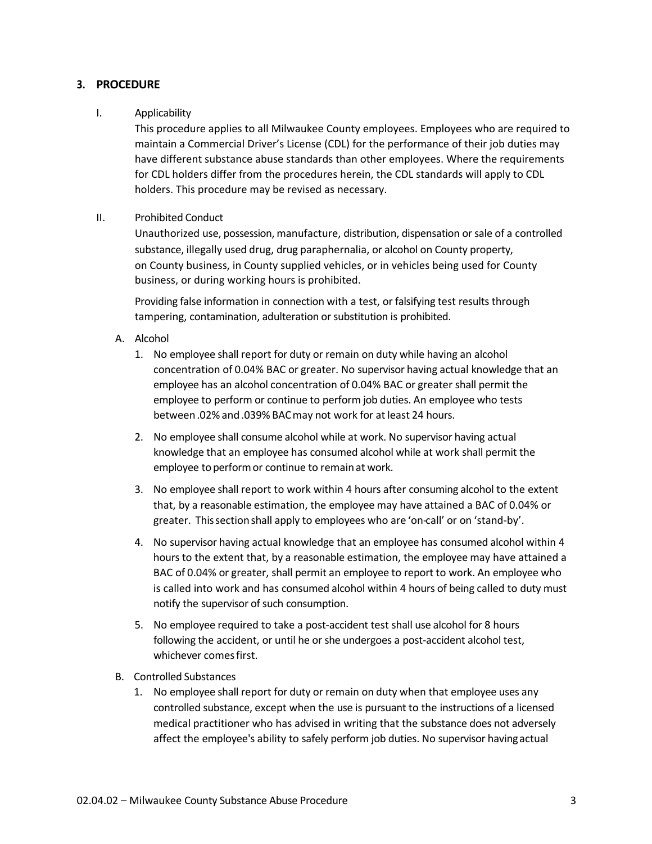### **3. PROCEDURE**

#### I. Applicability

This procedure applies to all Milwaukee County employees. Employees who are required to maintain a Commercial Driver's License (CDL) for the performance of their job duties may have different substance abuse standards than other employees. Where the requirements for CDL holders differ from the procedures herein, the CDL standards will apply to CDL holders. This procedure may be revised as necessary.

#### II. Prohibited Conduct

Unauthorized use, possession, manufacture, distribution, dispensation or sale of a controlled substance, illegally used drug, drug paraphernalia, or alcohol on County property, on County business, in County supplied vehicles, or in vehicles being used for County business, or during working hours is prohibited.

Providing false information in connection with a test, or falsifying test results through tampering, contamination, adulteration or substitution is prohibited.

- A. Alcohol
	- 1. No employee shall report for duty or remain on duty while having an alcohol concentration of 0.04% BAC or greater. No supervisor having actual knowledge that an employee has an alcohol concentration of 0.04% BAC or greater shall permit the employee to perform or continue to perform job duties. An employee who tests between.02% and .039% BAC may not work for at least 24 hours.
	- 2. No employee shall consume alcohol while at work. No supervisor having actual knowledge that an employee has consumed alcohol while at work shall permit the employee to perform or continue to remain at work.
	- 3. No employee shall report to work within 4 hours after consuming alcohol to the extent that, by a reasonable estimation, the employee may have attained a BAC of 0.04% or greater. Thissectionshall apply to employees who are 'on-call' or on 'stand-by'.
	- 4. No supervisor having actual knowledge that an employee has consumed alcohol within 4 hours to the extent that, by a reasonable estimation, the employee may have attained a BAC of 0.04% or greater, shall permit an employee to report to work. An employee who is called into work and has consumed alcohol within 4 hours of being called to duty must notify the supervisor of such consumption.
	- 5. No employee required to take a post-accident test shall use alcohol for 8 hours following the accident, or until he or she undergoes a post-accident alcohol test, whichever comesfirst.
- B. Controlled Substances
	- 1. No employee shall report for duty or remain on duty when that employee uses any controlled substance, except when the use is pursuant to the instructions of a licensed medical practitioner who has advised in writing that the substance does not adversely affect the employee's ability to safely perform job duties. No supervisor havingactual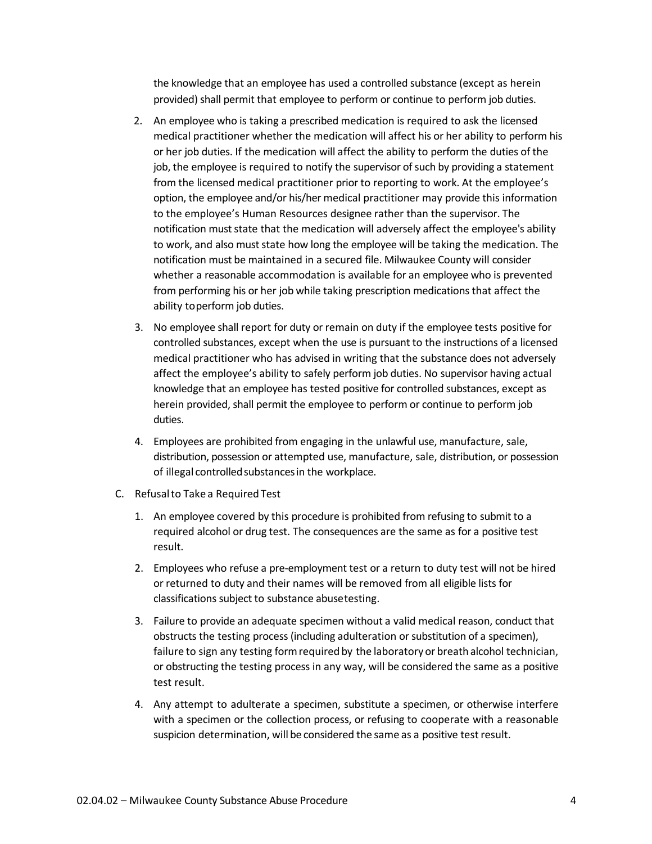the knowledge that an employee has used a controlled substance (except as herein provided) shall permit that employee to perform or continue to perform job duties.

- 2. An employee who is taking a prescribed medication is required to ask the licensed medical practitioner whether the medication will affect his or her ability to perform his or her job duties. If the medication will affect the ability to perform the duties of the job, the employee is required to notify the supervisor of such by providing a statement from the licensed medical practitioner prior to reporting to work. At the employee's option, the employee and/or his/her medical practitioner may provide this information to the employee's Human Resources designee rather than the supervisor. The notification must state that the medication will adversely affect the employee's ability to work, and also must state how long the employee will be taking the medication. The notification must be maintained in a secured file. Milwaukee County will consider whether a reasonable accommodation is available for an employee who is prevented from performing his or her job while taking prescription medications that affect the ability toperform job duties.
- 3. No employee shall report for duty or remain on duty if the employee tests positive for controlled substances, except when the use is pursuant to the instructions of a licensed medical practitioner who has advised in writing that the substance does not adversely affect the employee's ability to safely perform job duties. No supervisor having actual knowledge that an employee has tested positive for controlled substances, except as herein provided, shall permit the employee to perform or continue to perform job duties.
- 4. Employees are prohibited from engaging in the unlawful use, manufacture, sale, distribution, possession or attempted use, manufacture, sale, distribution, or possession of illegal controlledsubstancesin the workplace.
- C. Refusalto Take a RequiredTest
	- 1. An employee covered by this procedure is prohibited from refusing to submit to a required alcohol or drug test. The consequences are the same as for a positive test result.
	- 2. Employees who refuse a pre-employment test or a return to duty test will not be hired or returned to duty and their names will be removed from all eligible lists for classifications subject to substance abusetesting.
	- 3. Failure to provide an adequate specimen without a valid medical reason, conduct that obstructs the testing process (including adulteration or substitution of a specimen), failure to sign any testing formrequired by the laboratoryor breathalcohol technician, or obstructing the testing process in any way, will be considered the same as a positive test result.
	- 4. Any attempt to adulterate a specimen, substitute a specimen, or otherwise interfere with a specimen or the collection process, or refusing to cooperate with a reasonable suspicion determination, will be considered the same as a positive testresult.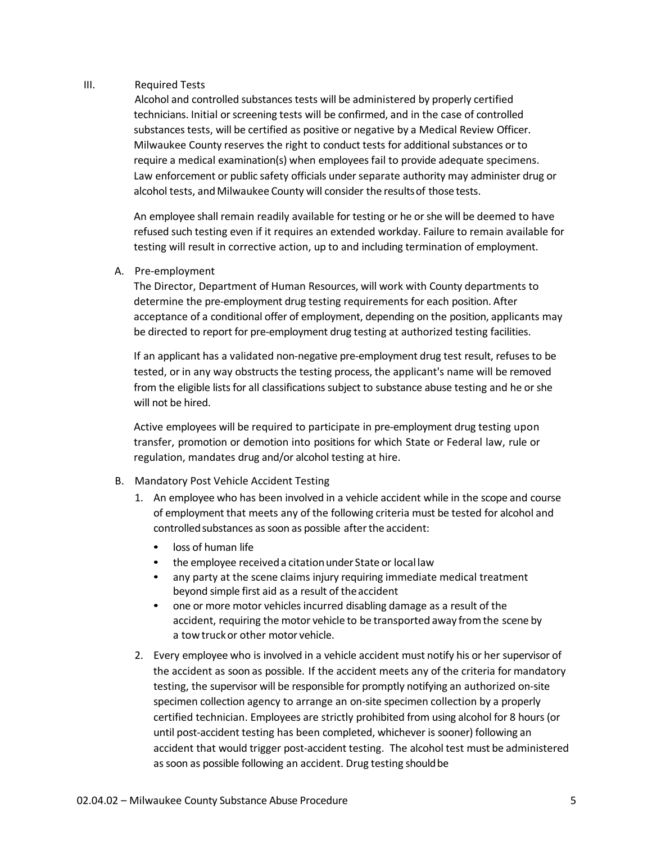#### III. Required Tests

Alcohol and controlled substances tests will be administered by properly certified technicians. Initial or screening tests will be confirmed, and in the case of controlled substances tests, will be certified as positive or negative by a Medical Review Officer. Milwaukee County reserves the right to conduct tests for additional substances or to require a medical examination(s) when employees fail to provide adequate specimens. Law enforcement or public safety officials under separate authority may administer drug or alcohol tests, and Milwaukee County will consider the results of those tests.

An employee shall remain readily available for testing or he or she will be deemed to have refused such testing even if it requires an extended workday. Failure to remain available for testing will result in corrective action, up to and including termination of employment.

#### A. Pre-employment

The Director, Department of Human Resources, will work with County departments to determine the pre-employment drug testing requirements for each position. After acceptance of a conditional offer of employment, depending on the position, applicants may be directed to report for pre-employment drug testing at authorized testing facilities.

If an applicant has a validated non-negative pre-employment drug test result, refuses to be tested, or in any way obstructs the testing process, the applicant's name will be removed from the eligible lists for all classifications subject to substance abuse testing and he or she will not be hired.

Active employees will be required to participate in pre-employment drug testing upon transfer, promotion or demotion into positions for which State or Federal law, rule or regulation, mandates drug and/or alcohol testing at hire.

#### B. Mandatory Post Vehicle Accident Testing

- 1. An employee who has been involved in a vehicle accident while in the scope and course of employment that meets any of the following criteria must be tested for alcohol and controlled substances as soon as possible after the accident:
	- loss of human life
	- the employee received a citation under State or local law
	- any party at the scene claims injury requiring immediate medical treatment beyond simple first aid as a result of theaccident
	- one or more motor vehicles incurred disabling damage as a result of the accident, requiring the motor vehicle to be transported away fromthe scene by a towtruckor other motor vehicle.
- 2. Every employee who is involved in a vehicle accident must notify his or her supervisor of the accident as soon as possible. If the accident meets any of the criteria for mandatory testing, the supervisor will be responsible for promptly notifying an authorized on-site specimen collection agency to arrange an on-site specimen collection by a properly certified technician. Employees are strictly prohibited from using alcohol for 8 hours (or until post-accident testing has been completed, whichever is sooner) following an accident that would trigger post-accident testing. The alcohol test must be administered as soon as possible following an accident. Drug testing should be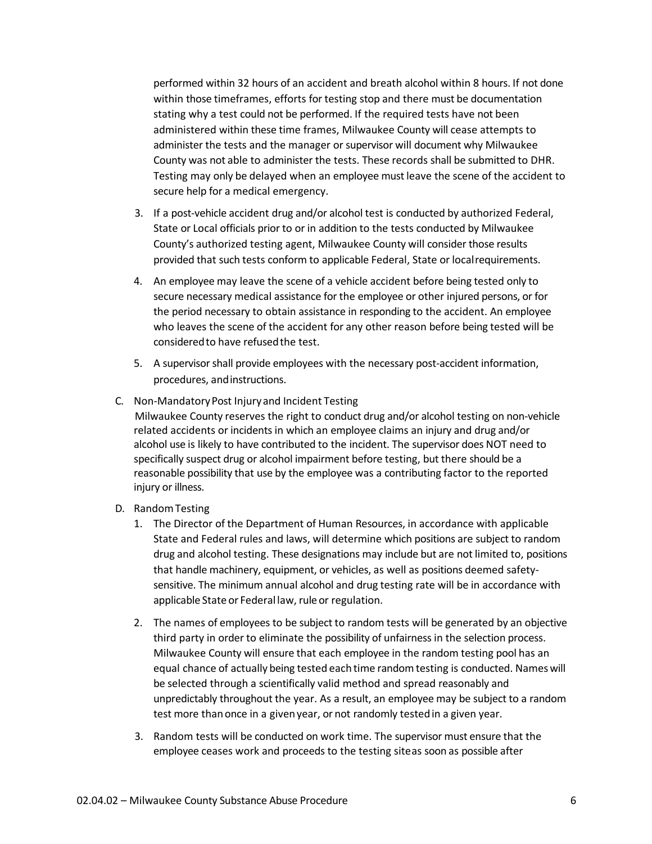performed within 32 hours of an accident and breath alcohol within 8 hours. If not done within those timeframes, efforts for testing stop and there must be documentation stating why a test could not be performed. If the required tests have not been administered within these time frames, Milwaukee County will cease attempts to administer the tests and the manager or supervisor will document why Milwaukee County was not able to administer the tests. These records shall be submitted to DHR. Testing may only be delayed when an employee must leave the scene of the accident to secure help for a medical emergency.

- 3. If a post-vehicle accident drug and/or alcohol test is conducted by authorized Federal, State or Local officials prior to or in addition to the tests conducted by Milwaukee County's authorized testing agent, Milwaukee County will consider those results provided that such tests conform to applicable Federal, State or localrequirements.
- 4. An employee may leave the scene of a vehicle accident before being tested only to secure necessary medical assistance for the employee or other injured persons, or for the period necessary to obtain assistance in responding to the accident. An employee who leaves the scene of the accident for any other reason before being tested will be consideredto have refusedthe test.
- 5. A supervisor shall provide employees with the necessary post-accident information, procedures, andinstructions.
- C. Non-MandatoryPost Injuryand Incident Testing

Milwaukee County reserves the right to conduct drug and/or alcohol testing on non-vehicle related accidents or incidents in which an employee claims an injury and drug and/or alcohol use is likely to have contributed to the incident. The supervisor does NOT need to specifically suspect drug or alcohol impairment before testing, but there should be a reasonable possibility that use by the employee was a contributing factor to the reported injury or illness.

- D. RandomTesting
	- 1. The Director of the Department of Human Resources, in accordance with applicable State and Federal rules and laws, will determine which positions are subject to random drug and alcohol testing. These designations may include but are not limited to, positions that handle machinery, equipment, or vehicles, as well as positions deemed safetysensitive. The minimum annual alcohol and drug testing rate will be in accordance with applicable State or Federal law, rule or regulation.
	- 2. The names of employees to be subject to random tests will be generated by an objective third party in order to eliminate the possibility of unfairness in the selection process. Milwaukee County will ensure that each employee in the random testing pool has an equal chance of actually being tested each time randomtesting is conducted. Nameswill be selected through a scientifically valid method and spread reasonably and unpredictably throughout the year. As a result, an employee may be subject to a random test more than once in a given year, or not randomly tested in a given year.
	- 3. Random tests will be conducted on work time. The supervisor must ensure that the employee ceases work and proceeds to the testing siteas soon as possible after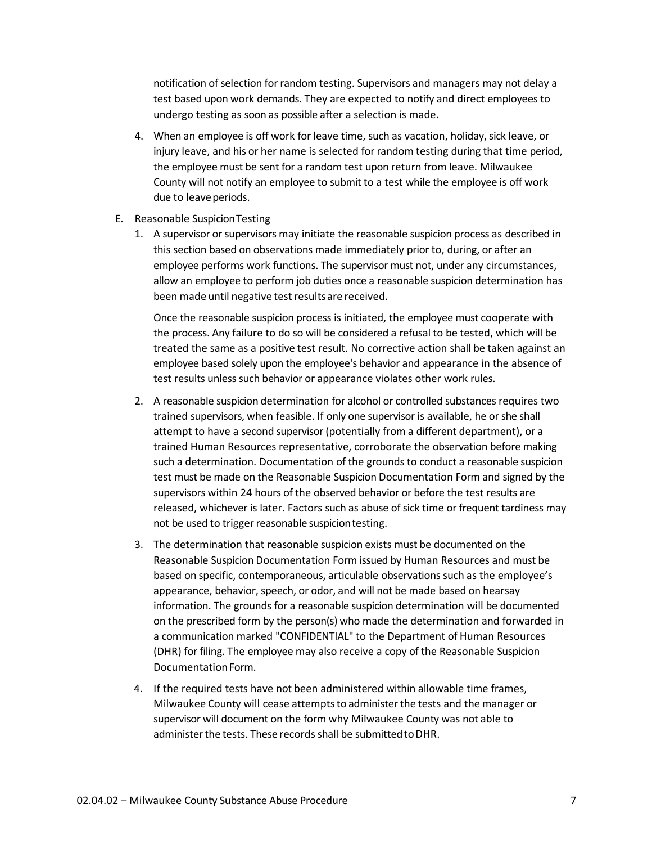notification of selection for random testing. Supervisors and managers may not delay a test based upon work demands. They are expected to notify and direct employees to undergo testing as soon as possible after a selection is made.

- 4. When an employee is off work for leave time, such as vacation, holiday, sick leave, or injury leave, and his or her name is selected for random testing during that time period, the employee must be sent for a random test upon return from leave. Milwaukee County will not notify an employee to submit to a test while the employee is off work due to leave periods.
- E. Reasonable SuspicionTesting
	- 1. A supervisor or supervisors may initiate the reasonable suspicion process as described in this section based on observations made immediately prior to, during, or after an employee performs work functions. The supervisor must not, under any circumstances, allow an employee to perform job duties once a reasonable suspicion determination has been made until negative test results are received.

Once the reasonable suspicion process is initiated, the employee must cooperate with the process. Any failure to do so will be considered a refusal to be tested, which will be treated the same as a positive test result. No corrective action shall be taken against an employee based solely upon the employee's behavior and appearance in the absence of test results unless such behavior or appearance violates other work rules.

- 2. A reasonable suspicion determination for alcohol or controlled substances requires two trained supervisors, when feasible. If only one supervisor is available, he or she shall attempt to have a second supervisor (potentially from a different department), or a trained Human Resources representative, corroborate the observation before making such a determination. Documentation of the grounds to conduct a reasonable suspicion test must be made on the Reasonable Suspicion Documentation Form and signed by the supervisors within 24 hours of the observed behavior or before the test results are released, whichever is later. Factors such as abuse of sick time or frequent tardiness may not be used to trigger reasonable suspicion testing.
- 3. The determination that reasonable suspicion exists must be documented on the Reasonable Suspicion Documentation Form issued by Human Resources and must be based on specific, contemporaneous, articulable observations such as the employee's appearance, behavior, speech, or odor, and will not be made based on hearsay information. The grounds for a reasonable suspicion determination will be documented on the prescribed form by the person(s) who made the determination and forwarded in a communication marked "CONFIDENTIAL" to the Department of Human Resources (DHR) for filing. The employee may also receive a copy of the Reasonable Suspicion Documentation Form.
- 4. If the required tests have not been administered within allowable time frames, Milwaukee County will cease attemptsto administer the tests and the manager or supervisor will document on the form why Milwaukee County was not able to administer the tests. These records shall be submitted to DHR.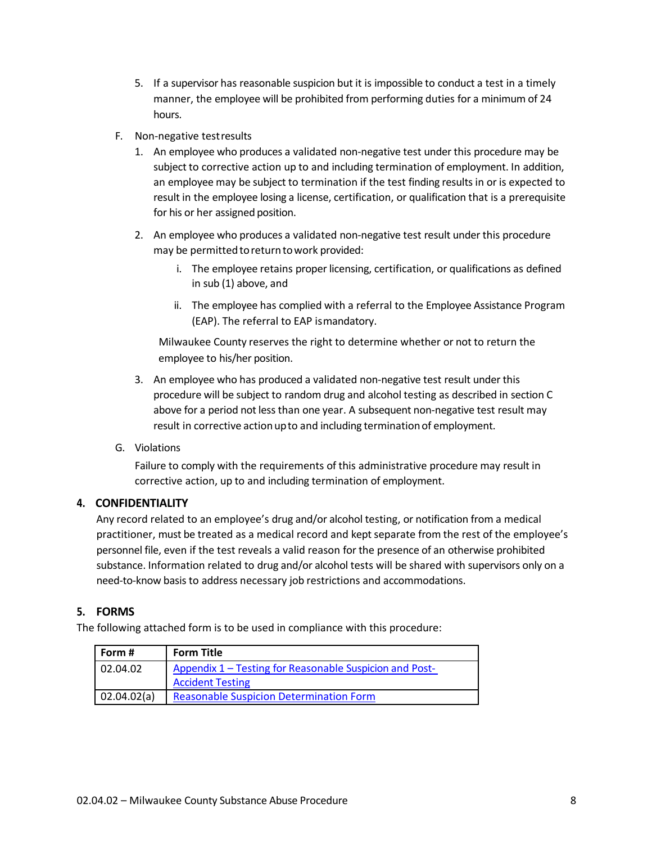- 5. If a supervisor has reasonable suspicion but it is impossible to conduct a test in a timely manner, the employee will be prohibited from performing duties for a minimum of 24 hours.
- F. Non-negative testresults
	- 1. An employee who produces a validated non-negative test under this procedure may be subject to corrective action up to and including termination of employment. In addition, an employee may be subject to termination if the test finding results in or is expected to result in the employee losing a license, certification, or qualification that is a prerequisite for his or her assigned position.
	- 2. An employee who produces a validated non-negative test result under this procedure may be permitted to return to work provided:
		- i. The employee retains proper licensing, certification, or qualifications as defined in sub (1) above, and
		- ii. The employee has complied with a referral to the Employee Assistance Program (EAP). The referral to EAP ismandatory.

Milwaukee County reserves the right to determine whether or not to return the employee to his/her position.

- 3. An employee who has produced a validated non-negative test result under this procedure will be subject to random drug and alcohol testing as described in section C above for a period not less than one year. A subsequent non-negative test result may result in corrective action up to and including termination of employment.
- G. Violations

Failure to comply with the requirements of this administrative procedure may result in corrective action, up to and including termination of employment.

## **4. CONFIDENTIALITY**

Any record related to an employee's drug and/or alcohol testing, or notification from a medical practitioner, must be treated as a medical record and kept separate from the rest of the employee's personnel file, even if the test reveals a valid reason for the presence of an otherwise prohibited substance. Information related to drug and/or alcohol tests will be shared with supervisors only on a need-to-know basis to address necessary job restrictions and accommodations.

## **5. FORMS**

The following attached form is to be used in compliance with this procedure:

| Form #      | <b>Form Title</b>                                       |
|-------------|---------------------------------------------------------|
| 02.04.02    | Appendix 1 – Testing for Reasonable Suspicion and Post- |
|             | <b>Accident Testing</b>                                 |
| 02.04.02(a) | <b>Reasonable Suspicion Determination Form</b>          |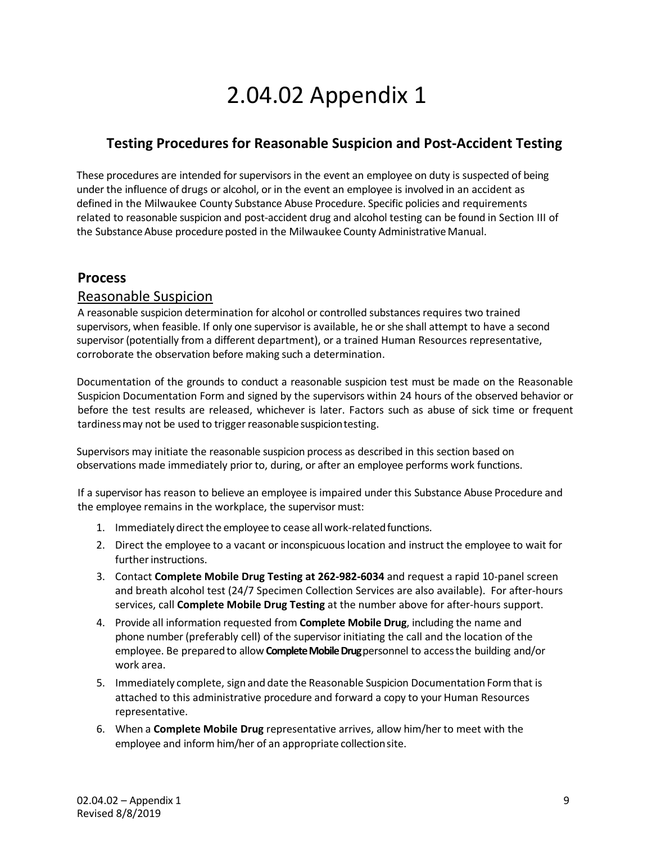# 2.04.02 Appendix 1

# <span id="page-8-0"></span>**Testing Procedures for Reasonable Suspicion and Post-Accident Testing**

These procedures are intended for supervisors in the event an employee on duty is suspected of being under the influence of drugs or alcohol, or in the event an employee is involved in an accident as defined in the Milwaukee County Substance Abuse Procedure. Specific policies and requirements related to reasonable suspicion and post-accident drug and alcohol testing can be found in Section III of the Substance Abuse procedure posted in the Milwaukee County Administrative Manual.

# **Process**

## Reasonable Suspicion

A reasonable suspicion determination for alcohol or controlled substances requires two trained supervisors, when feasible. If only one supervisor is available, he or she shall attempt to have a second supervisor (potentially from a different department), or a trained Human Resources representative, corroborate the observation before making such a determination.

Documentation of the grounds to conduct a reasonable suspicion test must be made on the Reasonable Suspicion Documentation Form and signed by the supervisors within 24 hours of the observed behavior or before the test results are released, whichever is later. Factors such as abuse of sick time or frequent tardiness may not be used to trigger reasonable suspicion testing.

Supervisors may initiate the reasonable suspicion process as described in this section based on observations made immediately prior to, during, or after an employee performs work functions.

If a supervisor has reason to believe an employee is impaired under this Substance Abuse Procedure and the employee remains in the workplace, the supervisor must:

- 1. Immediately direct the employee to cease all work-related functions.
- 2. Direct the employee to a vacant or inconspicuous location and instruct the employee to wait for further instructions.
- 3. Contact **Complete Mobile Drug Testing at 262-982-6034** and request a rapid 10-panel screen and breath alcohol test (24/7 Specimen Collection Services are also available). For after-hours services, call **Complete Mobile Drug Testing** at the number above for after-hours support.
- 4. Provide all information requested from **Complete Mobile Drug**, including the name and phone number (preferably cell) of the supervisor initiating the call and the location of the employee. Be prepared to allow **Complete Mobile Drug**personnel to accessthe building and/or work area.
- 5. Immediately complete, sign and date the Reasonable Suspicion Documentation Formthat is attached to this administrative procedure and forward a copy to your Human Resources representative.
- 6. When a **Complete Mobile Drug** representative arrives, allow him/her to meet with the employee and inform him/her of an appropriate collectionsite.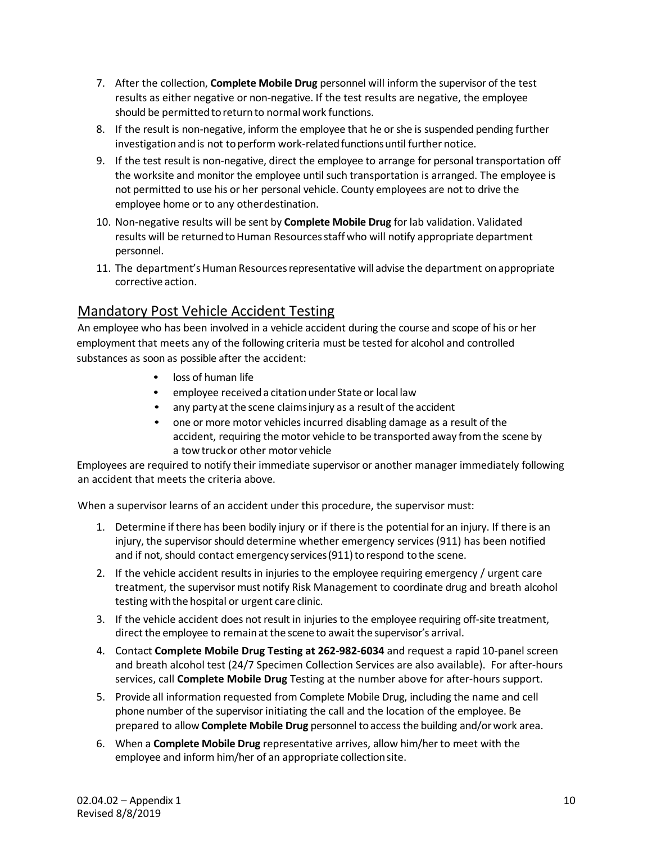- 7. After the collection, **Complete Mobile Drug** personnel will inform the supervisor of the test results as either negative or non-negative. If the test results are negative, the employee should be permitted to return to normal work functions.
- 8. If the result is non-negative, inform the employee that he or she is suspended pending further investigation and is not to perform work-related functions until further notice.
- 9. If the test result is non-negative, direct the employee to arrange for personal transportation off the worksite and monitor the employee until such transportation is arranged. The employee is not permitted to use his or her personal vehicle. County employees are not to drive the employee home or to any otherdestination.
- 10. Non-negative results will be sent by **Complete Mobile Drug** for lab validation. Validated results will be returned to Human Resources staff who will notify appropriate department personnel.
- 11. The department's Human Resources representative will advise the department on appropriate corrective action.

# Mandatory Post Vehicle Accident Testing

An employee who has been involved in a vehicle accident during the course and scope of his or her employment that meets any of the following criteria must be tested for alcohol and controlled substances as soon as possible after the accident:

- loss of human life
- employee received a citation under State or local law
- any party at the scene claimsinjury as a result of the accident
- one or more motor vehicles incurred disabling damage as a result of the accident, requiring the motor vehicle to be transported away fromthe scene by a towtruckor other motor vehicle

Employees are required to notify their immediate supervisor or another manager immediately following an accident that meets the criteria above.

When a supervisor learns of an accident under this procedure, the supervisor must:

- 1. Determine ifthere has been bodily injury or if there is the potential for an injury. If there is an injury, the supervisor should determine whether emergency services (911) has been notified and if not, should contact emergency services (911) to respond to the scene.
- 2. If the vehicle accident results in injuries to the employee requiring emergency / urgent care treatment, the supervisor must notify Risk Management to coordinate drug and breath alcohol testing with the hospital or urgent care clinic.
- 3. If the vehicle accident does not result in injuries to the employee requiring off-site treatment, direct the employee to remainat the scene to await the supervisor's arrival.
- 4. Contact **Complete Mobile Drug Testing at 262-982-6034** and request a rapid 10-panel screen and breath alcohol test (24/7 Specimen Collection Services are also available). For after-hours services, call **Complete Mobile Drug** Testing at the number above for after-hours support.
- 5. Provide all information requested from Complete Mobile Drug, including the name and cell phone number of the supervisor initiating the call and the location of the employee. Be prepared to allow**Complete Mobile Drug** personnel toaccess the building and/orwork area.
- 6. When a **Complete Mobile Drug** representative arrives, allow him/her to meet with the employee and inform him/her of an appropriate collectionsite.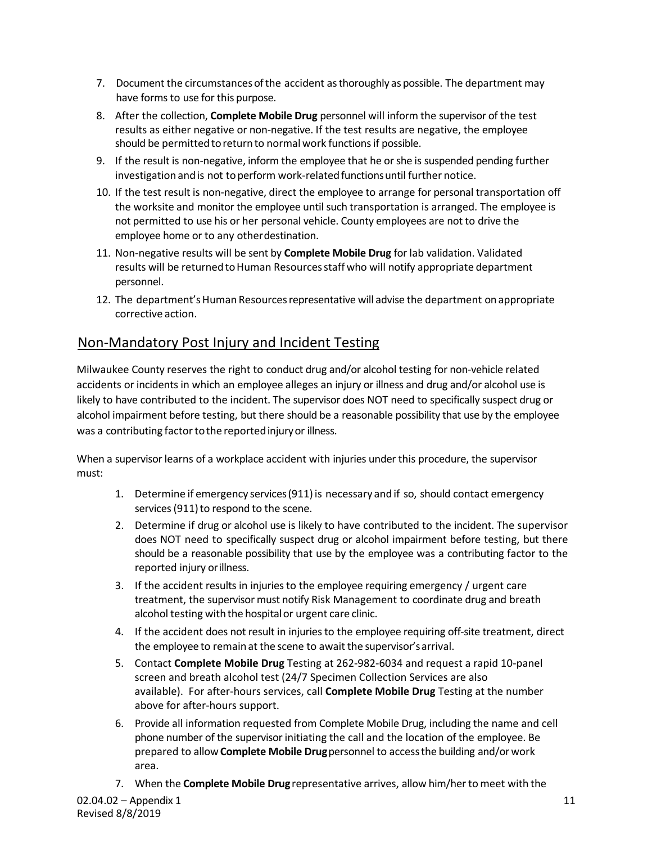- 7. Document the circumstances of the accident as thoroughly as possible. The department may have forms to use for this purpose.
- 8. After the collection, **Complete Mobile Drug** personnel will inform the supervisor of the test results as either negative or non-negative. If the test results are negative, the employee should be permitted to return to normal work functions if possible.
- 9. If the result is non-negative, inform the employee that he or she is suspended pending further investigation and is not to perform work-related functions until further notice.
- 10. If the test result is non-negative, direct the employee to arrange for personal transportation off the worksite and monitor the employee until such transportation is arranged. The employee is not permitted to use his or her personal vehicle. County employees are not to drive the employee home or to any otherdestination.
- 11. Non-negative results will be sent by **Complete Mobile Drug** for lab validation. Validated results will be returned to Human Resources staff who will notify appropriate department personnel.
- 12. The department's Human Resources representative will advise the department on appropriate corrective action.

# Non-Mandatory Post Injury and Incident Testing

Milwaukee County reserves the right to conduct drug and/or alcohol testing for non-vehicle related accidents or incidents in which an employee alleges an injury or illness and drug and/or alcohol use is likely to have contributed to the incident. The supervisor does NOT need to specifically suspect drug or alcohol impairment before testing, but there should be a reasonable possibility that use by the employee was a contributing factor to the reported injury or illness.

When a supervisor learns of a workplace accident with injuries under this procedure, the supervisor must:

- 1. Determine if emergency services(911)is necessary and if so, should contact emergency services (911) to respond to the scene.
- 2. Determine if drug or alcohol use is likely to have contributed to the incident. The supervisor does NOT need to specifically suspect drug or alcohol impairment before testing, but there should be a reasonable possibility that use by the employee was a contributing factor to the reported injury orillness.
- 3. If the accident results in injuries to the employee requiring emergency / urgent care treatment, the supervisor must notify Risk Management to coordinate drug and breath alcohol testing with the hospital or urgent care clinic.
- 4. If the accident does not result in injuries to the employee requiring off-site treatment, direct the employee to remainat the scene to await the supervisor'sarrival.
- 5. Contact **Complete Mobile Drug** Testing at 262-982-6034 and request a rapid 10-panel screen and breath alcohol test (24/7 Specimen Collection Services are also available). For after-hours services, call **Complete Mobile Drug** Testing at the number above for after-hours support.
- 6. Provide all information requested from Complete Mobile Drug, including the name and cell phone number of the supervisor initiating the call and the location of the employee. Be prepared to allow**Complete Mobile Drug**personnel to accessthe building and/orwork area.
- 7. When the **Complete Mobile Drug** representative arrives, allow him/her tomeet with the